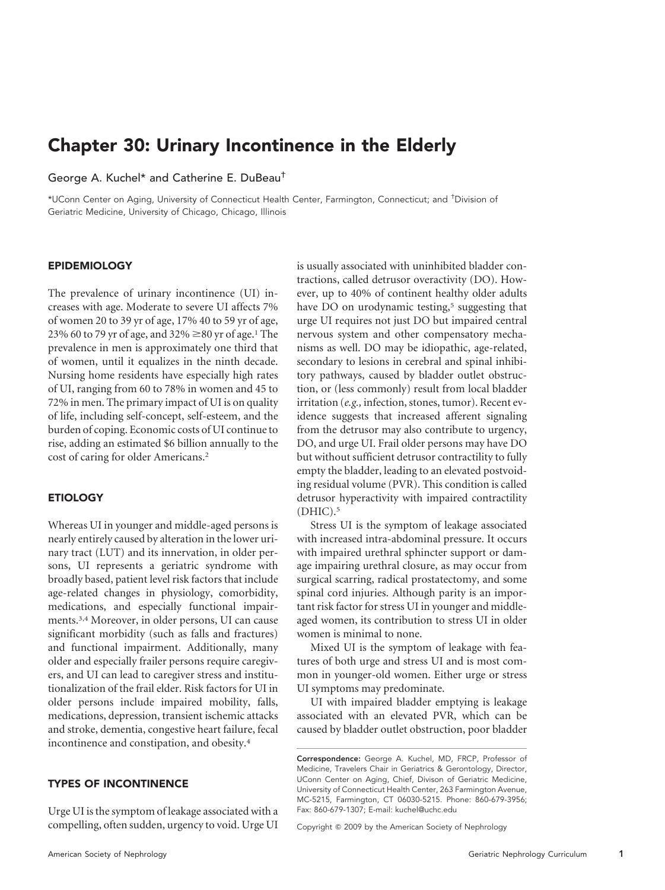# Chapter 30: Urinary Incontinence in the Elderly

#### George A. Kuchel\* and Catherine E. DuBeau†

\*UConn Center on Aging, University of Connecticut Health Center, Farmington, Connecticut; and † Division of Geriatric Medicine, University of Chicago, Chicago, Illinois

#### EPIDEMIOLOGY

The prevalence of urinary incontinence (UI) increases with age. Moderate to severe UI affects 7% of women 20 to 39 yr of age, 17% 40 to 59 yr of age, 23% 60 to 79 yr of age, and 32%  $\geq$ 80 yr of age.<sup>1</sup> The prevalence in men is approximately one third that of women, until it equalizes in the ninth decade. Nursing home residents have especially high rates of UI, ranging from 60 to 78% in women and 45 to 72% in men. The primary impact of UI is on quality of life, including self-concept, self-esteem, and the burden of coping. Economic costs of UI continue to rise, adding an estimated \$6 billion annually to the cost of caring for older Americans.2

#### **ETIOLOGY**

Whereas UI in younger and middle-aged persons is nearly entirely caused by alteration in the lower urinary tract (LUT) and its innervation, in older persons, UI represents a geriatric syndrome with broadly based, patient level risk factors that include age-related changes in physiology, comorbidity, medications, and especially functional impairments.3,4 Moreover, in older persons, UI can cause significant morbidity (such as falls and fractures) and functional impairment. Additionally, many older and especially frailer persons require caregivers, and UI can lead to caregiver stress and institutionalization of the frail elder. Risk factors for UI in older persons include impaired mobility, falls, medications, depression, transient ischemic attacks and stroke, dementia, congestive heart failure, fecal incontinence and constipation, and obesity.4

#### TYPES OF INCONTINENCE

Urge UI is the symptom of leakage associated with a compelling, often sudden, urgency to void. Urge UI is usually associated with uninhibited bladder contractions, called detrusor overactivity (DO). However, up to 40% of continent healthy older adults have DO on urodynamic testing,<sup>5</sup> suggesting that urge UI requires not just DO but impaired central nervous system and other compensatory mechanisms as well. DO may be idiopathic, age-related, secondary to lesions in cerebral and spinal inhibitory pathways, caused by bladder outlet obstruction, or (less commonly) result from local bladder irritation (*e.g.,* infection, stones, tumor). Recent evidence suggests that increased afferent signaling from the detrusor may also contribute to urgency, DO, and urge UI. Frail older persons may have DO but without sufficient detrusor contractility to fully empty the bladder, leading to an elevated postvoiding residual volume (PVR). This condition is called detrusor hyperactivity with impaired contractility  $(DHIC).<sup>5</sup>$ 

Stress UI is the symptom of leakage associated with increased intra-abdominal pressure. It occurs with impaired urethral sphincter support or damage impairing urethral closure, as may occur from surgical scarring, radical prostatectomy, and some spinal cord injuries. Although parity is an important risk factor for stress UI in younger and middleaged women, its contribution to stress UI in older women is minimal to none.

Mixed UI is the symptom of leakage with features of both urge and stress UI and is most common in younger-old women. Either urge or stress UI symptoms may predominate.

UI with impaired bladder emptying is leakage associated with an elevated PVR, which can be caused by bladder outlet obstruction, poor bladder

Copyright © 2009 by the American Society of Nephrology

Correspondence: George A. Kuchel, MD, FRCP, Professor of Medicine, Travelers Chair in Geriatrics & Gerontology, Director, UConn Center on Aging, Chief, Divison of Geriatric Medicine, University of Connecticut Health Center, 263 Farmington Avenue, MC-5215, Farmington, CT 06030-5215. Phone: 860-679-3956; Fax: 860-679-1307; E-mail: kuchel@uchc.edu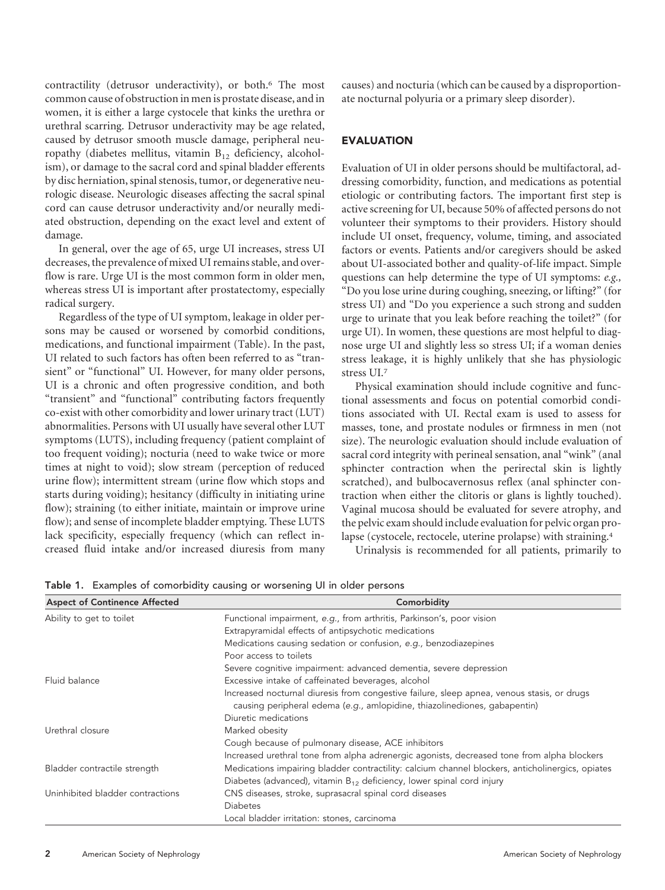contractility (detrusor underactivity), or both.6 The most common cause of obstruction in men is prostate disease, and in women, it is either a large cystocele that kinks the urethra or urethral scarring. Detrusor underactivity may be age related, caused by detrusor smooth muscle damage, peripheral neuropathy (diabetes mellitus, vitamin  $B_{12}$  deficiency, alcoholism), or damage to the sacral cord and spinal bladder efferents by disc herniation, spinal stenosis, tumor, or degenerative neurologic disease. Neurologic diseases affecting the sacral spinal cord can cause detrusor underactivity and/or neurally mediated obstruction, depending on the exact level and extent of damage.

In general, over the age of 65, urge UI increases, stress UI decreases, the prevalence of mixed UI remains stable, and overflow is rare. Urge UI is the most common form in older men, whereas stress UI is important after prostatectomy, especially radical surgery.

Regardless of the type of UI symptom, leakage in older persons may be caused or worsened by comorbid conditions, medications, and functional impairment (Table). In the past, UI related to such factors has often been referred to as "transient" or "functional" UI. However, for many older persons, UI is a chronic and often progressive condition, and both "transient" and "functional" contributing factors frequently co-exist with other comorbidity and lower urinary tract (LUT) abnormalities. Persons with UI usually have several other LUT symptoms (LUTS), including frequency (patient complaint of too frequent voiding); nocturia (need to wake twice or more times at night to void); slow stream (perception of reduced urine flow); intermittent stream (urine flow which stops and starts during voiding); hesitancy (difficulty in initiating urine flow); straining (to either initiate, maintain or improve urine flow); and sense of incomplete bladder emptying. These LUTS lack specificity, especially frequency (which can reflect increased fluid intake and/or increased diuresis from many

causes) and nocturia (which can be caused by a disproportionate nocturnal polyuria or a primary sleep disorder).

# EVALUATION

Evaluation of UI in older persons should be multifactoral, addressing comorbidity, function, and medications as potential etiologic or contributing factors. The important first step is active screening for UI, because 50% of affected persons do not volunteer their symptoms to their providers. History should include UI onset, frequency, volume, timing, and associated factors or events. Patients and/or caregivers should be asked about UI-associated bother and quality-of-life impact. Simple questions can help determine the type of UI symptoms: *e.g.,* "Do you lose urine during coughing, sneezing, or lifting?" (for stress UI) and "Do you experience a such strong and sudden urge to urinate that you leak before reaching the toilet?" (for urge UI). In women, these questions are most helpful to diagnose urge UI and slightly less so stress UI; if a woman denies stress leakage, it is highly unlikely that she has physiologic stress UI.7

Physical examination should include cognitive and functional assessments and focus on potential comorbid conditions associated with UI. Rectal exam is used to assess for masses, tone, and prostate nodules or firmness in men (not size). The neurologic evaluation should include evaluation of sacral cord integrity with perineal sensation, anal "wink" (anal sphincter contraction when the perirectal skin is lightly scratched), and bulbocavernosus reflex (anal sphincter contraction when either the clitoris or glans is lightly touched). Vaginal mucosa should be evaluated for severe atrophy, and the pelvic exam should include evaluation for pelvic organ prolapse (cystocele, rectocele, uterine prolapse) with straining.4

Urinalysis is recommended for all patients, primarily to

| <b>Aspect of Continence Affected</b> | Comorbidity                                                                                                                                                             |
|--------------------------------------|-------------------------------------------------------------------------------------------------------------------------------------------------------------------------|
| Ability to get to toilet             | Functional impairment, e.g., from arthritis, Parkinson's, poor vision                                                                                                   |
|                                      | Extrapyramidal effects of antipsychotic medications                                                                                                                     |
|                                      | Medications causing sedation or confusion, e.g., benzodiazepines                                                                                                        |
|                                      | Poor access to toilets                                                                                                                                                  |
|                                      | Severe cognitive impairment: advanced dementia, severe depression                                                                                                       |
| Fluid balance                        | Excessive intake of caffeinated beverages, alcohol                                                                                                                      |
|                                      | Increased nocturnal diuresis from congestive failure, sleep apnea, venous stasis, or drugs<br>causing peripheral edema (e.g., amlopidine, thiazolinediones, gabapentin) |
|                                      | Diuretic medications                                                                                                                                                    |
| Urethral closure                     | Marked obesity                                                                                                                                                          |
|                                      | Cough because of pulmonary disease, ACE inhibitors                                                                                                                      |
|                                      | Increased urethral tone from alpha adrenergic agonists, decreased tone from alpha blockers                                                                              |
| Bladder contractile strength         | Medications impairing bladder contractility: calcium channel blockers, anticholinergics, opiates                                                                        |
|                                      | Diabetes (advanced), vitamin $B_{12}$ deficiency, lower spinal cord injury                                                                                              |
| Uninhibited bladder contractions     | CNS diseases, stroke, suprasacral spinal cord diseases                                                                                                                  |
|                                      | <b>Diabetes</b>                                                                                                                                                         |
|                                      | Local bladder irritation: stones, carcinoma                                                                                                                             |

Table 1. Examples of comorbidity causing or worsening UI in older persons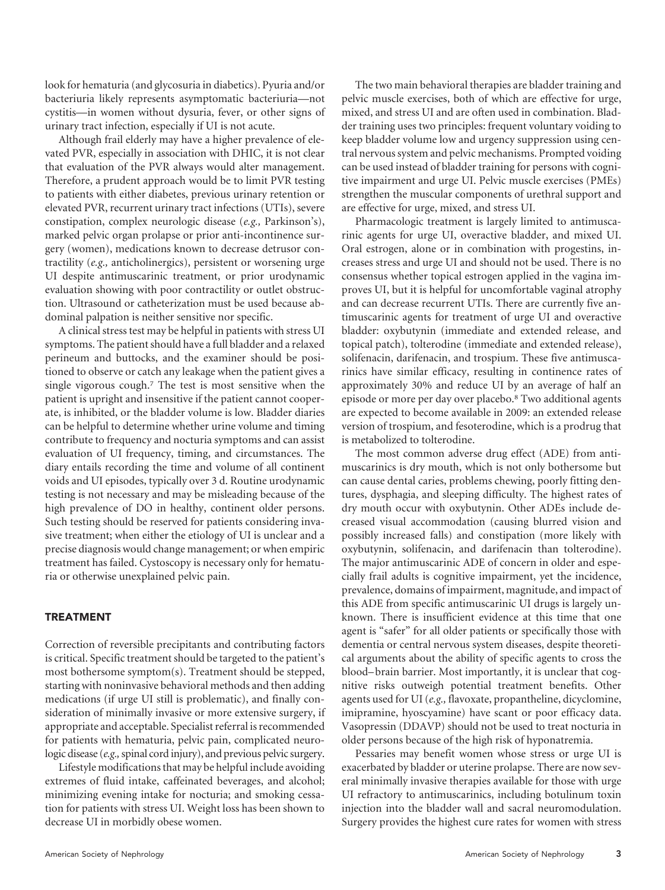look for hematuria (and glycosuria in diabetics). Pyuria and/or bacteriuria likely represents asymptomatic bacteriuria—not cystitis—in women without dysuria, fever, or other signs of urinary tract infection, especially if UI is not acute.

Although frail elderly may have a higher prevalence of elevated PVR, especially in association with DHIC, it is not clear that evaluation of the PVR always would alter management. Therefore, a prudent approach would be to limit PVR testing to patients with either diabetes, previous urinary retention or elevated PVR, recurrent urinary tract infections (UTIs), severe constipation, complex neurologic disease (*e.g.,* Parkinson's), marked pelvic organ prolapse or prior anti-incontinence surgery (women), medications known to decrease detrusor contractility (*e.g.,* anticholinergics), persistent or worsening urge UI despite antimuscarinic treatment, or prior urodynamic evaluation showing with poor contractility or outlet obstruction. Ultrasound or catheterization must be used because abdominal palpation is neither sensitive nor specific.

A clinical stress test may be helpful in patients with stress UI symptoms. The patient should have a full bladder and a relaxed perineum and buttocks, and the examiner should be positioned to observe or catch any leakage when the patient gives a single vigorous cough.7 The test is most sensitive when the patient is upright and insensitive if the patient cannot cooperate, is inhibited, or the bladder volume is low. Bladder diaries can be helpful to determine whether urine volume and timing contribute to frequency and nocturia symptoms and can assist evaluation of UI frequency, timing, and circumstances. The diary entails recording the time and volume of all continent voids and UI episodes, typically over 3 d. Routine urodynamic testing is not necessary and may be misleading because of the high prevalence of DO in healthy, continent older persons. Such testing should be reserved for patients considering invasive treatment; when either the etiology of UI is unclear and a precise diagnosis would change management; or when empiric treatment has failed. Cystoscopy is necessary only for hematuria or otherwise unexplained pelvic pain.

#### TREATMENT

Correction of reversible precipitants and contributing factors is critical. Specific treatment should be targeted to the patient's most bothersome symptom(s). Treatment should be stepped, starting with noninvasive behavioral methods and then adding medications (if urge UI still is problematic), and finally consideration of minimally invasive or more extensive surgery, if appropriate and acceptable. Specialist referral is recommended for patients with hematuria, pelvic pain, complicated neurologic disease (*e.g.,*spinal cord injury), and previous pelvic surgery.

Lifestyle modifications that may be helpful include avoiding extremes of fluid intake, caffeinated beverages, and alcohol; minimizing evening intake for nocturia; and smoking cessation for patients with stress UI. Weight loss has been shown to decrease UI in morbidly obese women.

The two main behavioral therapies are bladder training and pelvic muscle exercises, both of which are effective for urge, mixed, and stress UI and are often used in combination. Bladder training uses two principles: frequent voluntary voiding to keep bladder volume low and urgency suppression using central nervous system and pelvic mechanisms. Prompted voiding can be used instead of bladder training for persons with cognitive impairment and urge UI. Pelvic muscle exercises (PMEs) strengthen the muscular components of urethral support and are effective for urge, mixed, and stress UI.

Pharmacologic treatment is largely limited to antimuscarinic agents for urge UI, overactive bladder, and mixed UI. Oral estrogen, alone or in combination with progestins, increases stress and urge UI and should not be used. There is no consensus whether topical estrogen applied in the vagina improves UI, but it is helpful for uncomfortable vaginal atrophy and can decrease recurrent UTIs. There are currently five antimuscarinic agents for treatment of urge UI and overactive bladder: oxybutynin (immediate and extended release, and topical patch), tolterodine (immediate and extended release), solifenacin, darifenacin, and trospium. These five antimuscarinics have similar efficacy, resulting in continence rates of approximately 30% and reduce UI by an average of half an episode or more per day over placebo.8 Two additional agents are expected to become available in 2009: an extended release version of trospium, and fesoterodine, which is a prodrug that is metabolized to tolterodine.

The most common adverse drug effect (ADE) from antimuscarinics is dry mouth, which is not only bothersome but can cause dental caries, problems chewing, poorly fitting dentures, dysphagia, and sleeping difficulty. The highest rates of dry mouth occur with oxybutynin. Other ADEs include decreased visual accommodation (causing blurred vision and possibly increased falls) and constipation (more likely with oxybutynin, solifenacin, and darifenacin than tolterodine). The major antimuscarinic ADE of concern in older and especially frail adults is cognitive impairment, yet the incidence, prevalence, domains of impairment, magnitude, and impact of this ADE from specific antimuscarinic UI drugs is largely unknown. There is insufficient evidence at this time that one agent is "safer" for all older patients or specifically those with dementia or central nervous system diseases, despite theoretical arguments about the ability of specific agents to cross the blood– brain barrier. Most importantly, it is unclear that cognitive risks outweigh potential treatment benefits. Other agents used for UI (*e.g.,* flavoxate, propantheline, dicyclomine, imipramine, hyoscyamine) have scant or poor efficacy data. Vasopressin (DDAVP) should not be used to treat nocturia in older persons because of the high risk of hyponatremia.

Pessaries may benefit women whose stress or urge UI is exacerbated by bladder or uterine prolapse. There are now several minimally invasive therapies available for those with urge UI refractory to antimuscarinics, including botulinum toxin injection into the bladder wall and sacral neuromodulation. Surgery provides the highest cure rates for women with stress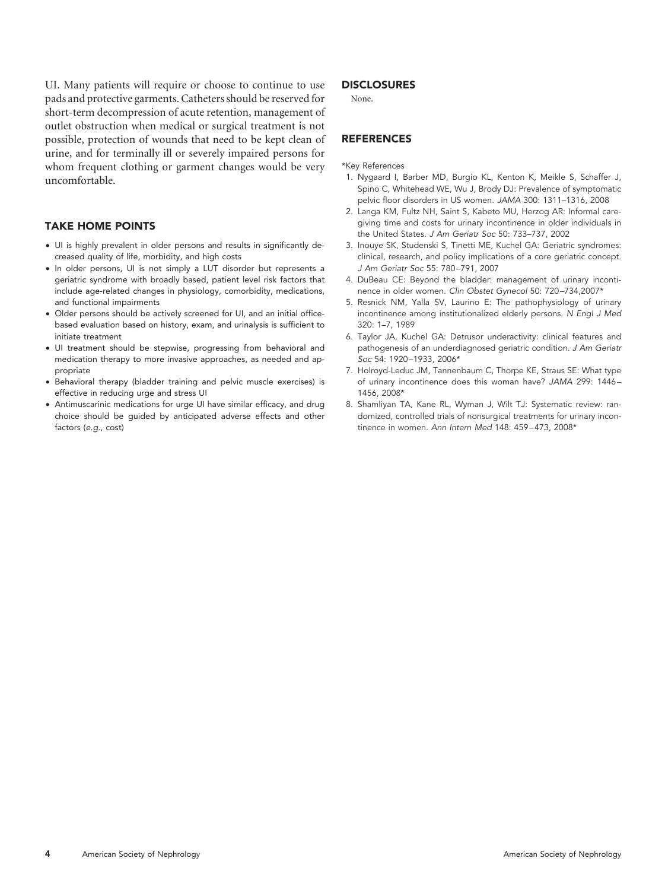UI. Many patients will require or choose to continue to use pads and protective garments. Catheters should be reserved for short-term decompression of acute retention, management of outlet obstruction when medical or surgical treatment is not possible, protection of wounds that need to be kept clean of urine, and for terminally ill or severely impaired persons for whom frequent clothing or garment changes would be very uncomfortable.

### TAKE HOME POINTS

- UI is highly prevalent in older persons and results in significantly decreased quality of life, morbidity, and high costs
- In older persons, UI is not simply a LUT disorder but represents a geriatric syndrome with broadly based, patient level risk factors that include age-related changes in physiology, comorbidity, medications, and functional impairments
- Older persons should be actively screened for UI, and an initial officebased evaluation based on history, exam, and urinalysis is sufficient to initiate treatment
- UI treatment should be stepwise, progressing from behavioral and medication therapy to more invasive approaches, as needed and appropriate
- Behavioral therapy (bladder training and pelvic muscle exercises) is effective in reducing urge and stress UI
- Antimuscarinic medications for urge UI have similar efficacy, and drug choice should be guided by anticipated adverse effects and other factors (*e.g.,* cost)

#### **DISCLOSURES**

None.

## **REFERENCES**

#### \*Key References

- 1. Nygaard I, Barber MD, Burgio KL, Kenton K, Meikle S, Schaffer J, Spino C, Whitehead WE, Wu J, Brody DJ: Prevalence of symptomatic pelvic floor disorders in US women. *JAMA* 300: 1311–1316, 2008
- 2. Langa KM, Fultz NH, Saint S, Kabeto MU, Herzog AR: Informal caregiving time and costs for urinary incontinence in older individuals in the United States. *J Am Geriatr Soc* 50: 733–737, 2002
- 3. Inouye SK, Studenski S, Tinetti ME, Kuchel GA: Geriatric syndromes: clinical, research, and policy implications of a core geriatric concept. *J Am Geriatr Soc* 55: 780 –791, 2007
- 4. DuBeau CE: Beyond the bladder: management of urinary incontinence in older women. *Clin Obstet Gynecol* 50: 720 –734,2007\*
- 5. Resnick NM, Yalla SV, Laurino E: The pathophysiology of urinary incontinence among institutionalized elderly persons. *N Engl J Med* 320: 1–7, 1989
- 6. Taylor JA, Kuchel GA: Detrusor underactivity: clinical features and pathogenesis of an underdiagnosed geriatric condition. *J Am Geriatr Soc* 54: 1920 –1933, 2006\*
- 7. Holroyd-Leduc JM, Tannenbaum C, Thorpe KE, Straus SE: What type of urinary incontinence does this woman have? *JAMA* 299: 1446 – 1456, 2008\*
- 8. Shamliyan TA, Kane RL, Wyman J, Wilt TJ: Systematic review: randomized, controlled trials of nonsurgical treatments for urinary incontinence in women. *Ann Intern Med* 148: 459 – 473, 2008\*